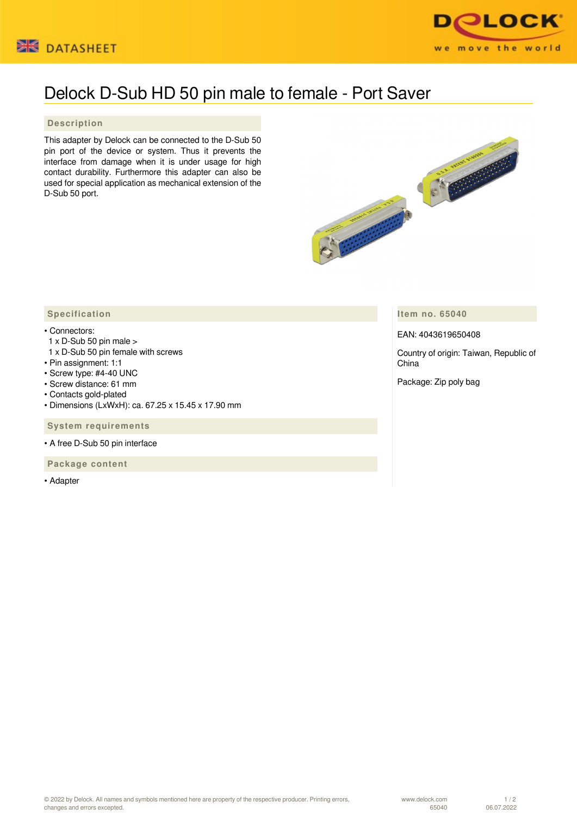



## Delock D-Sub HD 50 pin male to female - Port Saver

## **Description**

This adapter by Delock can be connected to the D-Sub 50 pin port of the device or system. Thus it prevents the interface from damage when it is under usage for high contact durability. Furthermore this adapter can also be used for special application as mechanical extension of the D-Sub 50 port.



**Item no. 65040**

EAN: 4043619650408

Country of origin: Taiwan, Republic of China

Package: Zip poly bag

## **Specification**

## • Connectors:

- 1 x D-Sub 50 pin male >
- 1 x D-Sub 50 pin female with screws
- Pin assignment: 1:1
- Screw type: #4-40 UNC
- Screw distance: 61 mm
- Contacts gold-plated
- Dimensions (LxWxH): ca. 67.25 x 15.45 x 17.90 mm

 **System requirements**

• A free D-Sub 50 pin interface

 **Package content**

• Adapter